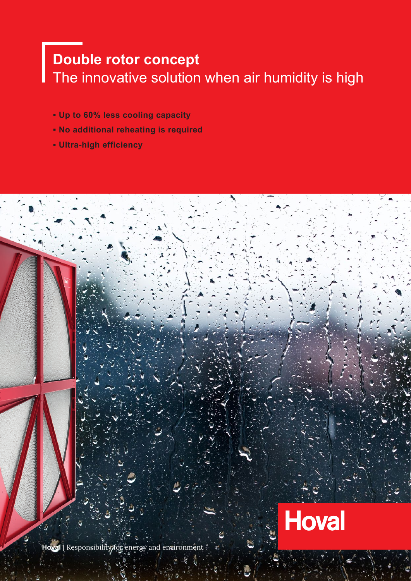# **Double rotor concept** The innovative solution when air humidity is high

- **▪ Up to 60% less cooling capacity**
- **▪ No additional reheating is required**
- **▪ Ultra-high efficiency**